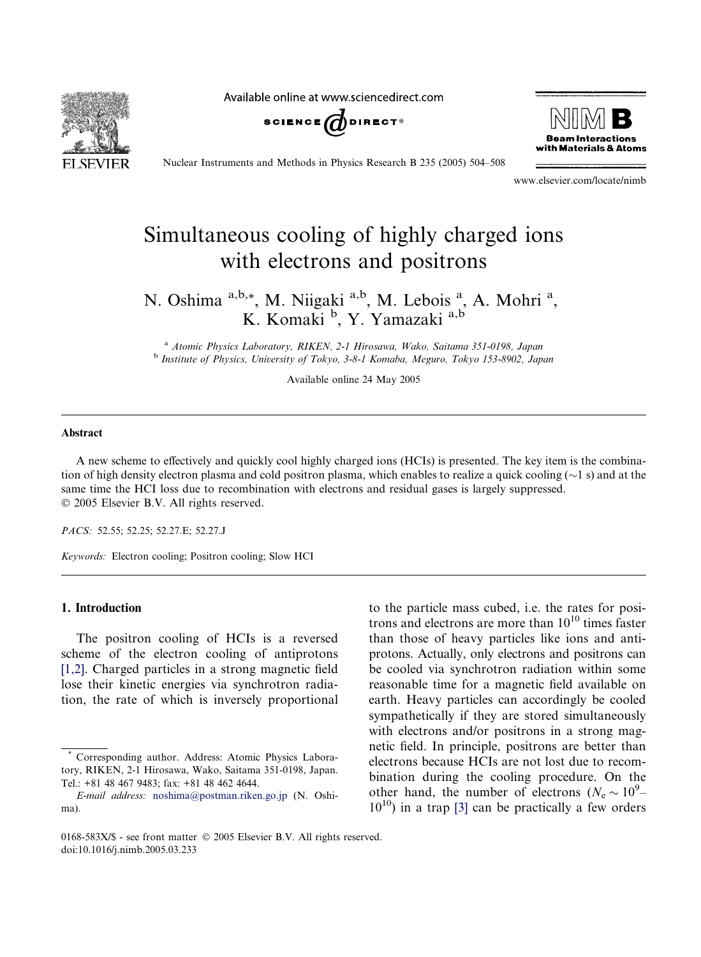Available online at www.sciencedirect.com





Nuclear Instruments and Methods in Physics Research B 235 (2005) 504–508

www.elsevier.com/locate/nimb

# Simultaneous cooling of highly charged ions with electrons and positrons

N. Oshima a,b,\*, M. Niigaki a,b, M. Lebois <sup>a</sup>, A. Mohri<sup>a</sup>, K. Komaki <sup>b</sup>, Y. Yamazaki a,b

<sup>a</sup> Atomic Physics Laboratory, RIKEN, 2-1 Hirosawa, Wako, Saitama 351-0198, Japan <sup>b</sup> Institute of Physics, University of Tokyo, 3-8-1 Komaba, Meguro, Tokyo 153-8902, Japan

Available online 24 May 2005

#### Abstract

A new scheme to effectively and quickly cool highly charged ions (HCIs) is presented. The key item is the combination of high density electron plasma and cold positron plasma, which enables to realize a quick cooling ( $\sim$ 1 s) and at the same time the HCI loss due to recombination with electrons and residual gases is largely suppressed. 2005 Elsevier B.V. All rights reserved.

PACS: 52.55; 52.25; 52.27.E; 52.27.J

Keywords: Electron cooling; Positron cooling; Slow HCI

#### 1. Introduction

The positron cooling of HCIs is a reversed scheme of the electron cooling of antiprotons [\[1,2\].](#page-4-0) Charged particles in a strong magnetic field lose their kinetic energies via synchrotron radiation, the rate of which is inversely proportional to the particle mass cubed, i.e. the rates for positrons and electrons are more than  $10^{10}$  times faster than those of heavy particles like ions and antiprotons. Actually, only electrons and positrons can be cooled via synchrotron radiation within some reasonable time for a magnetic field available on earth. Heavy particles can accordingly be cooled sympathetically if they are stored simultaneously with electrons and/or positrons in a strong magnetic field. In principle, positrons are better than electrons because HCIs are not lost due to recombination during the cooling procedure. On the other hand, the number of electrons ( $N_e \sim 10^9$ –  $10^{10}$ ) in a trap [\[3\]](#page-4-0) can be practically a few orders

Corresponding author. Address: Atomic Physics Laboratory, RIKEN, 2-1 Hirosawa, Wako, Saitama 351-0198, Japan. Tel.: +81 48 467 9483; fax: +81 48 462 4644.

E-mail address: [noshima@postman.riken.go.jp](mailto:noshima@postman.riken.go.jp) (N. Oshima).

<sup>0168-583</sup>X/\$ - see front matter © 2005 Elsevier B.V. All rights reserved. doi:10.1016/j.nimb.2005.03.233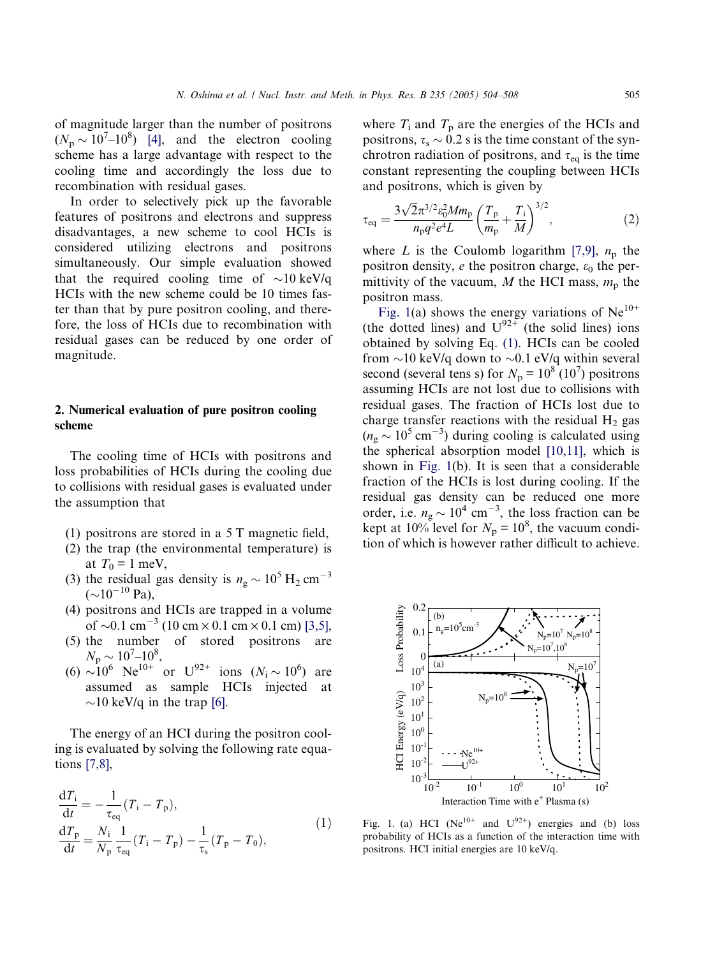<span id="page-1-0"></span>of magnitude larger than the number of positrons  $(N_{\rm p} \sim 10^{7} - 10^{8})$  [\[4\]](#page-4-0), and the electron cooling scheme has a large advantage with respect to the cooling time and accordingly the loss due to recombination with residual gases.

In order to selectively pick up the favorable features of positrons and electrons and suppress disadvantages, a new scheme to cool HCIs is considered utilizing electrons and positrons simultaneously. Our simple evaluation showed that the required cooling time of  $\sim 10 \text{ keV/q}$ HCIs with the new scheme could be 10 times faster than that by pure positron cooling, and therefore, the loss of HCIs due to recombination with residual gases can be reduced by one order of magnitude.

## 2. Numerical evaluation of pure positron cooling scheme

The cooling time of HCIs with positrons and loss probabilities of HCIs during the cooling due to collisions with residual gases is evaluated under the assumption that

- (1) positrons are stored in a 5 T magnetic field,
- (2) the trap (the environmental temperature) is at  $T_0 = 1$  meV,
- (3) the residual gas density is  $n_{\rm g} \sim 10^5$  H<sub>2</sub> cm<sup>-3</sup>  $({\sim}10^{-10}$  Pa),
- (4) positrons and HCIs are trapped in a volume of  $\sim$ 0.1 cm<sup>-3</sup> (10 cm  $\times$  0.1 cm  $\times$  0.1 cm) [\[3,5\]](#page-4-0),
- (5) the number of stored positrons are  $N_{\rm p} \sim 10^7 \text{--} 10^8,$
- (6)  $\sim 10^6$  Ne<sup>10+</sup> or U<sup>92+</sup> ions (N<sub>i</sub> ~ 10<sup>6</sup>) are assumed as sample HCIs injected at  $\sim$ 10 keV/q in the trap [\[6\].](#page-4-0)

The energy of an HCI during the positron cooling is evaluated by solving the following rate equations [\[7,8\],](#page-4-0)

$$
\frac{dT_{i}}{dt} = -\frac{1}{\tau_{eq}}(T_{i} - T_{p}),
$$
\n
$$
\frac{dT_{p}}{dt} = \frac{N_{i}}{N_{p}} \frac{1}{\tau_{eq}}(T_{i} - T_{p}) - \frac{1}{\tau_{s}}(T_{p} - T_{0}),
$$
\n(1)

where  $T_i$  and  $T_p$  are the energies of the HCIs and positrons,  $\tau_s \sim 0.2$  s is the time constant of the synchrotron radiation of positrons, and  $\tau_{eq}$  is the time constant representing the coupling between HCIs and positrons, which is given by

$$
\tau_{\text{eq}} = \frac{3\sqrt{2}\pi^{3/2} \varepsilon_0^2 M m_{\text{p}}}{n_{\text{p}} q^2 e^4 L} \left(\frac{T_{\text{p}}}{m_{\text{p}}} + \frac{T_{\text{i}}}{M}\right)^{3/2},\tag{2}
$$

where L is the Coulomb logarithm [\[7,9\]](#page-4-0),  $n_p$  the positron density, e the positron charge,  $\varepsilon_0$  the permittivity of the vacuum, M the HCI mass,  $m<sub>p</sub>$  the positron mass.

Fig. 1(a) shows the energy variations of  $Ne^{10+}$ (the dotted lines) and  $U^{92+}$  (the solid lines) ions obtained by solving Eq. (1). HCIs can be cooled from  $\sim$ 10 keV/q down to  $\sim$ 0.1 eV/q within several second (several tens s) for  $N_p = 10^8 (10^7)$  positrons assuming HCIs are not lost due to collisions with residual gases. The fraction of HCIs lost due to charge transfer reactions with the residual  $H_2$  gas  $(n_{\rm g} \sim 10^5 \,\rm cm^{-3})$  during cooling is calculated using the spherical absorption model [\[10,11\],](#page-4-0) which is shown in Fig. 1(b). It is seen that a considerable fraction of the HCIs is lost during cooling. If the residual gas density can be reduced one more order, i.e.  $n_g \sim 10^4$  cm<sup>-3</sup>, the loss fraction can be kept at 10% level for  $N_p = 10^8$ , the vacuum condition of which is however rather difficult to achieve.



Fig. 1. (a) HCI (Ne<sup>10+</sup> and  $U^{92+}$ ) energies and (b) loss probability of HCIs as a function of the interaction time with positrons. HCI initial energies are 10 keV/q.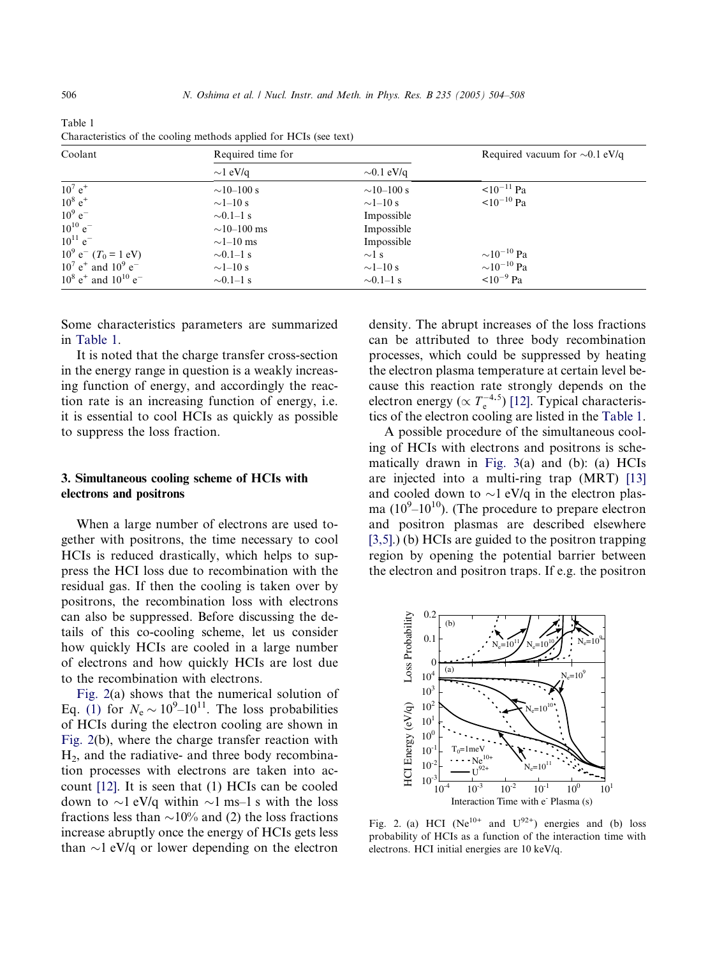| Coolant                                            | Required time for |                 | Required vacuum for $\sim 0.1$ eV/q |
|----------------------------------------------------|-------------------|-----------------|-------------------------------------|
|                                                    | $\sim$ 1 eV/q     | $\sim 0.1$ eV/q |                                     |
| $10^7 e^+$                                         | $\sim$ 10–100 s   | $\sim$ 10–100 s | $10^{-11}$ Pa                       |
| $10^8 e^+$                                         | $\sim$ 1-10 s     | $\sim$ 1–10 s   | $\leq 10^{-10}$ Pa                  |
| $10^9 e^-$                                         | $\sim 0.1-1$ s    | Impossible      |                                     |
| $10^{10}$ e <sup>-</sup>                           | $\sim$ 10–100 ms  | Impossible      |                                     |
| $10^{11}$ e <sup>-1</sup>                          | $\sim$ 1–10 ms    | Impossible      |                                     |
| $10^9$ e <sup>-</sup> (T <sub>0</sub> = 1 eV)      | $\sim 0.1-1$ s    | $\sim$ 1 s      | $\sim$ 10 <sup>-10</sup> Pa         |
| $10^7$ e <sup>+</sup> and $10^9$ e <sup>-</sup>    | $\sim$ 1–10 s     | $\sim$ 1–10 s   | $\sim 10^{-10}$ Pa                  |
| $10^8$ e <sup>+</sup> and $10^{10}$ e <sup>-</sup> | $\sim 0.1-1$ s    | $\sim 0.1-1$ s  | $10^{-9}$ Pa                        |

<span id="page-2-0"></span>Table 1 Characteristics of the cooling methods applied for HCIs (see text)

Some characteristics parameters are summarized in Table 1.

It is noted that the charge transfer cross-section in the energy range in question is a weakly increasing function of energy, and accordingly the reaction rate is an increasing function of energy, i.e. it is essential to cool HCIs as quickly as possible to suppress the loss fraction.

## 3. Simultaneous cooling scheme of HCIs with electrons and positrons

When a large number of electrons are used together with positrons, the time necessary to cool HCIs is reduced drastically, which helps to suppress the HCI loss due to recombination with the residual gas. If then the cooling is taken over by positrons, the recombination loss with electrons can also be suppressed. Before discussing the details of this co-cooling scheme, let us consider how quickly HCIs are cooled in a large number of electrons and how quickly HCIs are lost due to the recombination with electrons.

Fig. 2(a) shows that the numerical solution of Eq. [\(1\)](#page-1-0) for  $N_e \sim 10^9 - 10^{11}$ . The loss probabilities of HCIs during the electron cooling are shown in Fig. 2(b), where the charge transfer reaction with  $H<sub>2</sub>$ , and the radiative- and three body recombination processes with electrons are taken into account [\[12\].](#page-4-0) It is seen that (1) HCIs can be cooled down to  $\sim$ 1 eV/q within  $\sim$ 1 ms–1 s with the loss fractions less than  $\sim$ 10% and (2) the loss fractions increase abruptly once the energy of HCIs gets less than  $\sim$ 1 eV/q or lower depending on the electron density. The abrupt increases of the loss fractions can be attributed to three body recombination processes, which could be suppressed by heating the electron plasma temperature at certain level because this reaction rate strongly depends on the electron energy ( $\propto T_e^{-4.5}$ ) [\[12\].](#page-4-0) Typical characteristics of the electron cooling are listed in the Table 1.

A possible procedure of the simultaneous cooling of HCIs with electrons and positrons is schematically drawn in [Fig. 3\(](#page-3-0)a) and (b): (a) HCIs are injected into a multi-ring trap (MRT) [\[13\]](#page-4-0) and cooled down to  $\sim$ 1 eV/q in the electron plasma  $(10^9 - 10^{10})$ . (The procedure to prepare electron and positron plasmas are described elsewhere [\[3,5\].](#page-4-0)) (b) HCIs are guided to the positron trapping region by opening the potential barrier between the electron and positron traps. If e.g. the positron



Fig. 2. (a) HCI ( $Ne^{10+}$  and  $U^{92+}$ ) energies and (b) loss probability of HCIs as a function of the interaction time with electrons. HCI initial energies are 10 keV/q.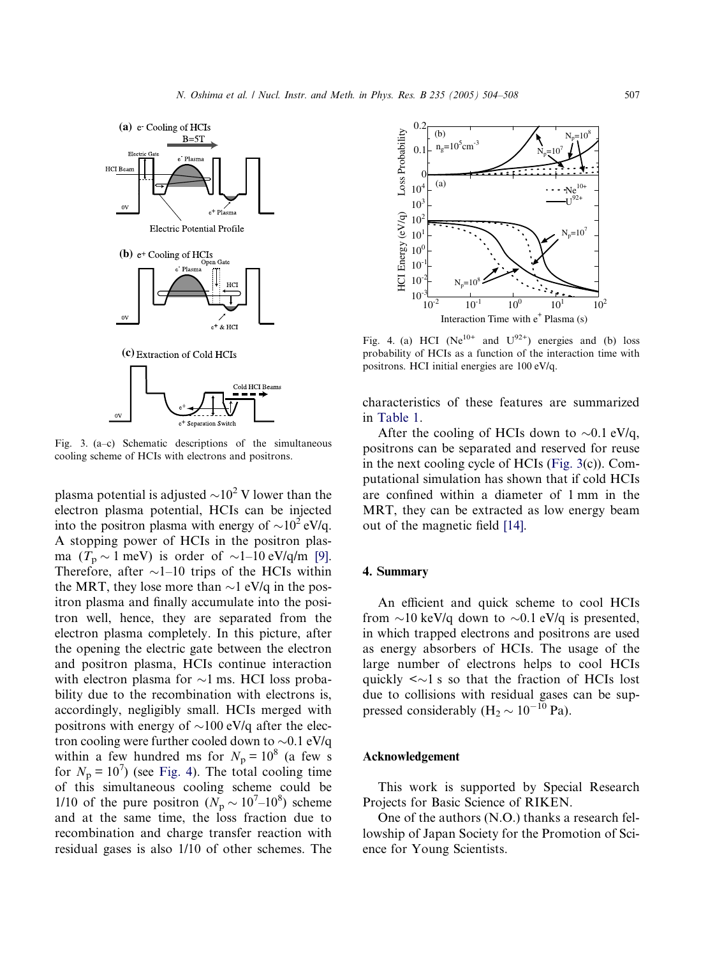<span id="page-3-0"></span>

Fig. 3. (a–c) Schematic descriptions of the simultaneous cooling scheme of HCIs with electrons and positrons.

plasma potential is adjusted  $\sim 10^2$  V lower than the electron plasma potential, HCIs can be injected into the positron plasma with energy of  $\sim 10^2$  eV/q. A stopping power of HCIs in the positron plasma  $(T_p \sim 1 \text{ meV})$  is order of  $\sim 1-10 \text{ eV/q/m}$  [\[9\]](#page-4-0). Therefore, after  $\sim$ 1–10 trips of the HCIs within the MRT, they lose more than  $\sim$ 1 eV/q in the positron plasma and finally accumulate into the positron well, hence, they are separated from the electron plasma completely. In this picture, after the opening the electric gate between the electron and positron plasma, HCIs continue interaction with electron plasma for  $\sim$ 1 ms. HCI loss probability due to the recombination with electrons is, accordingly, negligibly small. HCIs merged with positrons with energy of  $\sim$ 100 eV/q after the electron cooling were further cooled down to  $\sim 0.1$  eV/q within a few hundred ms for  $N_p = 10^8$  (a few s for  $N_p = 10^7$ ) (see Fig. 4). The total cooling time of this simultaneous cooling scheme could be 1/10 of the pure positron  $(N_{\rm p} \sim 10^{7} - 10^{8})$  scheme and at the same time, the loss fraction due to recombination and charge transfer reaction with residual gases is also 1/10 of other schemes. The



Fig. 4. (a) HCI ( $Ne^{10+}$  and  $U^{92+}$ ) energies and (b) loss probability of HCIs as a function of the interaction time with positrons. HCI initial energies are 100 eV/q.

characteristics of these features are summarized in [Table 1.](#page-2-0)

After the cooling of HCIs down to  $\sim 0.1$  eV/q, positrons can be separated and reserved for reuse in the next cooling cycle of HCIs (Fig. 3(c)). Computational simulation has shown that if cold HCIs are confined within a diameter of 1 mm in the MRT, they can be extracted as low energy beam out of the magnetic field [\[14\].](#page-4-0)

#### 4. Summary

An efficient and quick scheme to cool HCIs from  $\sim$ 10 keV/q down to  $\sim$ 0.1 eV/q is presented, in which trapped electrons and positrons are used as energy absorbers of HCIs. The usage of the large number of electrons helps to cool HCIs quickly  $\langle \sim 1$  s so that the fraction of HCIs lost due to collisions with residual gases can be suppressed considerably  $(H_2 \sim 10^{-10}$  Pa).

### Acknowledgement

This work is supported by Special Research Projects for Basic Science of RIKEN.

One of the authors (N.O.) thanks a research fellowship of Japan Society for the Promotion of Science for Young Scientists.